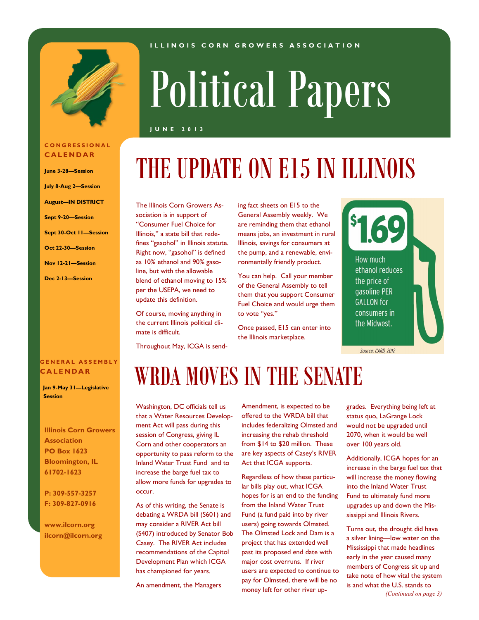

**C O N G R E S S I O N A L C A L E N D A R**

**June 3-28—Session July 8-Aug 2—Session August—IN DISTRICT**

**Sept 9-20—Session**

**Oct 22-30—Session Nov 12-21—Session**

**Dec 2-13—Session**

**Sept 30-Oct 11—Session**

# Political Papers

**I L L I N O I S C O R N G R O W E R S A S S O C I A T I O N**

#### **J U N E 2 0 1 3**

# THE UPDATE ON E15 IN ILLINOIS

The Illinois Corn Growers Association is in support of "Consumer Fuel Choice for Illinois," a state bill that redefines "gasohol" in Illinois statute. Right now, "gasohol" is defined as 10% ethanol and 90% gasoline, but with the allowable blend of ethanol moving to 15% per the USEPA, we need to update this definition.

Of course, moving anything in the current Illinois political climate is difficult.

Throughout May, ICGA is send-

ing fact sheets on E15 to the General Assembly weekly. We are reminding them that ethanol means jobs, an investment in rural Illinois, savings for consumers at the pump, and a renewable, environmentally friendly product.

You can help. Call your member of the General Assembly to tell them that you support Consumer Fuel Choice and would urge them to vote "yes."

Once passed, E15 can enter into the Illinois marketplace.



Source: CARD, 2012

#### **G E N E R A L A S S E M B L Y C A L E N D A R**

 **Jan 9-May 31—Legislative Session**

**Illinois Corn Growers Association PO Box 1623 Bloomington, IL 61702-1623**

**P: 309-557-3257 F: 309-827-0916**

**www.ilcorn.org ilcorn@ilcorn.org**

# WRDA MOVES IN THE SENATE

Washington, DC officials tell us that a Water Resources Development Act will pass during this session of Congress, giving IL Corn and other cooperators an opportunity to pass reform to the Inland Water Trust Fund and to increase the barge fuel tax to allow more funds for upgrades to occur.

As of this writing, the Senate is debating a WRDA bill (S601) and may consider a RIVER Act bill (S407) introduced by Senator Bob Casey. The RIVER Act includes recommendations of the Capitol Development Plan which ICGA has championed for years.

An amendment, the Managers

Amendment, is expected to be offered to the WRDA bill that includes federalizing Olmsted and increasing the rehab threshold from \$14 to \$20 million. These are key aspects of Casey's RIVER Act that ICGA supports.

Regardless of how these particular bills play out, what ICGA hopes for is an end to the funding from the Inland Water Trust Fund (a fund paid into by river users) going towards Olmsted. The Olmsted Lock and Dam is a project that has extended well past its proposed end date with major cost overruns. If river users are expected to continue to pay for Olmsted, there will be no money left for other river upgrades. Everything being left at status quo, LaGrange Lock would not be upgraded until 2070, when it would be well over 100 years old.

Additionally, ICGA hopes for an increase in the barge fuel tax that will increase the money flowing into the Inland Water Trust Fund to ultimately fund more upgrades up and down the Mississippi and Illinois Rivers.

Turns out, the drought did have a silver lining—low water on the Mississippi that made headlines early in the year caused many members of Congress sit up and take note of how vital the system is and what the U.S. stands to *(Continued on page 3)*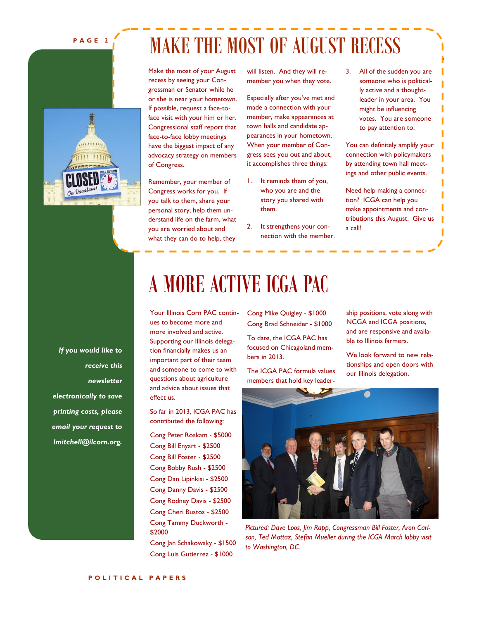#### **P A G E 2**



MAKE THE MOST OF AUGUST RECESS

Make the most of your August recess by seeing your Congressman or Senator while he or she is near your hometown. If possible, request a face-toface visit with your him or her. Congressional staff report that face-to-face lobby meetings have the biggest impact of any advocacy strategy on members of Congress.

Remember, your member of Congress works for you. If you talk to them, share your personal story, help them understand life on the farm, what you are worried about and what they can do to help, they

will listen. And they will remember you when they vote.

Especially after you've met and made a connection with your member, make appearances at town halls and candidate appearances in your hometown. When your member of Congress sees you out and about, it accomplishes three things:

- 1. It reminds them of you, who you are and the story you shared with them.
- 2. It strengthens your connection with the member.

3. All of the sudden you are someone who is politically active and a thoughtleader in your area. You might be influencing votes. You are someone to pay attention to.

You can definitely amplify your connection with policymakers by attending town hall meetings and other public events.

Need help making a connection? ICGA can help you make appointments and contributions this August. Give us a call!

*If you would like to receive this newsletter electronically to save printing costs, please email your request to lmitchell@ilcorn.org.*

### A MORE ACTIVE ICGA PAC

Your Illinois Corn PAC continues to become more and more involved and active. Supporting our Illinois delegation financially makes us an important part of their team and someone to come to with questions about agriculture and advice about issues that effect us.

So far in 2013, ICGA PAC has contributed the following:

Cong Peter Roskam - \$5000 Cong Bill Enyart - \$2500 Cong Bill Foster - \$2500 Cong Bobby Rush - \$2500 Cong Dan Lipinkisi - \$2500 Cong Danny Davis - \$2500 Cong Rodney Davis - \$2500 Cong Cheri Bustos - \$2500 Cong Tammy Duckworth - \$2000

Cong Jan Schakowsky - \$1500 Cong Luis Gutierrez - \$1000

Cong Mike Quigley - \$1000 Cong Brad Schneider - \$1000

To date, the ICGA PAC has focused on Chicagoland members in 2013.

The ICGA PAC formula values members that hold key leadership positions, vote along with NCGA and ICGA positions, and are responsive and available to Illinois farmers.

We look forward to new relationships and open doors with our Illinois delegation.



*Pictured: Dave Loos, Jim Rapp, Congressman Bill Foster, Aron Carlson, Ted Mottaz, Stefan Mueller during the ICGA March lobby visit to Washington, DC.*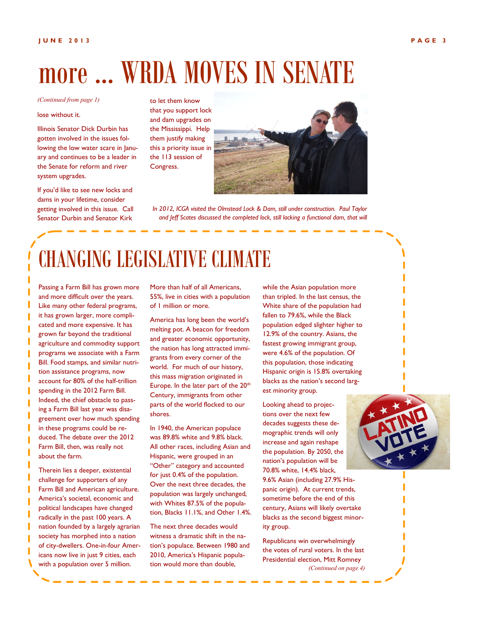# more … WRDA MOVES IN SENATE

#### *(Continued from page 1)*

#### lose without it.

Illinois Senator Dick Durbin has gotten involved in the issues following the low water scare in January and continues to be a leader in the Senate for reform and river system upgrades.

If you'd like to see new locks and dams in your lifetime, consider getting involved in this issue. Call Senator Durbin and Senator Kirk

to let them know that you support lock and dam upgrades on the Mississippi. Help them justify making this a priority issue in the 113 session of Congress.



*In 2012, ICGA visited the Olmstead Lock & Dam, still under construction. Paul Taylor*  and Jeff Scates discussed the completed lock, still lacking a functional dam, that will

## CHANGING LEGISLATIVE CLIMATE

Passing a Farm Bill has grown more and more difficult over the years. Like many other federal programs, it has grown larger, more complicated and more expensive. It has grown far beyond the traditional agriculture and commodity support programs we associate with a Farm Bill. Food stamps, and similar nutrition assistance programs, now account for 80% of the half-trillion spending in the 2012 Farm Bill. Indeed, the chief obstacle to passing a Farm Bill last year was disagreement over how much spending in these programs could be reduced. The debate over the 2012 Farm Bill, then, was really not about the farm.

Therein lies a deeper, existential challenge for supporters of any Farm Bill and American agriculture. America's societal, economic and political landscapes have changed radically in the past 100 years. A nation founded by a largely agrarian society has morphed into a nation of city-dwellers. One-in-four Americans now live in just 9 cities, each with a population over 5 million.

More than half of all Americans, 55%, live in cities with a population of 1 million or more.

America has long been the world's melting pot. A beacon for freedom and greater economic opportunity, the nation has long attracted immigrants from every corner of the world. For much of our history, this mass migration originated in Europe. In the later part of the 20<sup>th</sup> Century, immigrants from other parts of the world flocked to our shores.

In 1940, the American populace was 89.8% white and 9.8% black. All other races, including Asian and Hispanic, were grouped in an "Other" category and accounted for just 0.4% of the population. Over the next three decades, the population was largely unchanged, with Whites 87.5% of the population, Blacks 11.1%, and Other 1.4%.

The next three decades would witness a dramatic shift in the nation's populace. Between 1980 and 2010, America's Hispanic population would more than double,

while the Asian population more than tripled. In the last census, the White share of the population had fallen to 79.6%, while the Black population edged slighter higher to 12.9% of the country. Asians, the fastest growing immigrant group, were 4.6% of the population. Of this population, those indicating Hispanic origin is 15.8% overtaking blacks as the nation's second largest minority group.

Looking ahead to projections over the next few decades suggests these demographic trends will only increase and again reshape the population. By 2050, the nation's population will be 70.8% white, 14.4% black,

9.6% Asian (including 27.9% Hispanic origin). At current trends, sometime before the end of this century, Asians will likely overtake blacks as the second biggest minority group.

Republicans win overwhelmingly the votes of rural voters. In the last Presidential election, Mitt Romney *(Continued on page 4)*